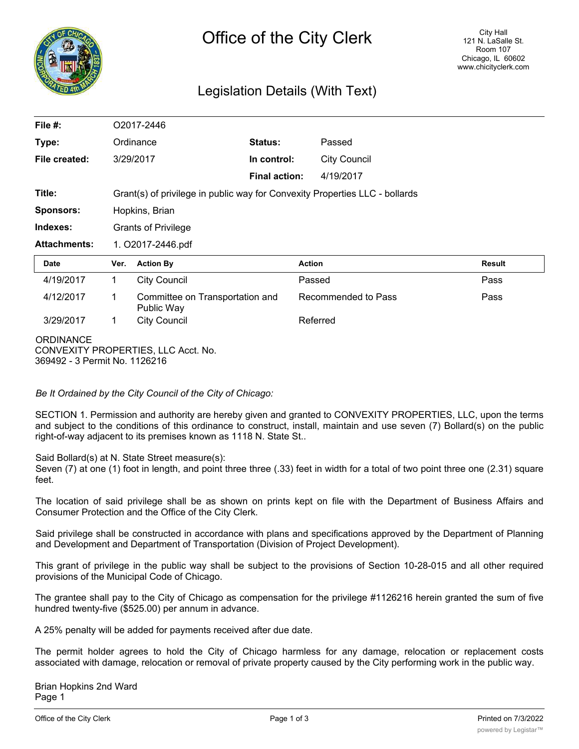

### Legislation Details (With Text)

| File $#$ :                                                                               | O2017-2446                                                                  |                                               |                      |                     |                     |               |
|------------------------------------------------------------------------------------------|-----------------------------------------------------------------------------|-----------------------------------------------|----------------------|---------------------|---------------------|---------------|
| Type:                                                                                    | Ordinance                                                                   |                                               | Status:              |                     | Passed              |               |
| File created:                                                                            |                                                                             | 3/29/2017                                     | In control:          |                     | <b>City Council</b> |               |
|                                                                                          |                                                                             |                                               | <b>Final action:</b> |                     | 4/19/2017           |               |
| Title:                                                                                   | Grant(s) of privilege in public way for Convexity Properties LLC - bollards |                                               |                      |                     |                     |               |
| <b>Sponsors:</b>                                                                         | Hopkins, Brian                                                              |                                               |                      |                     |                     |               |
| Indexes:                                                                                 | <b>Grants of Privilege</b>                                                  |                                               |                      |                     |                     |               |
| <b>Attachments:</b>                                                                      | 1. O2017-2446.pdf                                                           |                                               |                      |                     |                     |               |
| <b>Date</b>                                                                              | Ver.                                                                        | <b>Action By</b>                              |                      | <b>Action</b>       |                     | <b>Result</b> |
| 4/19/2017                                                                                | 1                                                                           | <b>City Council</b>                           |                      | Passed              |                     | Pass          |
| 4/12/2017                                                                                | 1                                                                           | Committee on Transportation and<br>Public Way |                      | Recommended to Pass |                     | Pass          |
| 3/29/2017                                                                                | 1                                                                           | <b>City Council</b>                           |                      | Referred            |                     |               |
| <b>ORDINANCE</b><br>CONVEXITY PROPERTIES, LLC Acct. No.<br>369492 - 3 Permit No. 1126216 |                                                                             |                                               |                      |                     |                     |               |

*Be It Ordained by the City Council of the City of Chicago:*

SECTION 1. Permission and authority are hereby given and granted to CONVEXITY PROPERTIES, LLC, upon the terms and subject to the conditions of this ordinance to construct, install, maintain and use seven (7) Bollard(s) on the public right-of-way adjacent to its premises known as 1118 N. State St..

Said Bollard(s) at N. State Street measure(s):

Seven (7) at one (1) foot in length, and point three three (.33) feet in width for a total of two point three one (2.31) square feet.

The location of said privilege shall be as shown on prints kept on file with the Department of Business Affairs and Consumer Protection and the Office of the City Clerk.

Said privilege shall be constructed in accordance with plans and specifications approved by the Department of Planning and Development and Department of Transportation (Division of Project Development).

This grant of privilege in the public way shall be subject to the provisions of Section 10-28-015 and all other required provisions of the Municipal Code of Chicago.

The grantee shall pay to the City of Chicago as compensation for the privilege #1126216 herein granted the sum of five hundred twenty-five (\$525.00) per annum in advance.

A 25% penalty will be added for payments received after due date.

The permit holder agrees to hold the City of Chicago harmless for any damage, relocation or replacement costs associated with damage, relocation or removal of private property caused by the City performing work in the public way.

Brian Hopkins 2nd Ward Page 1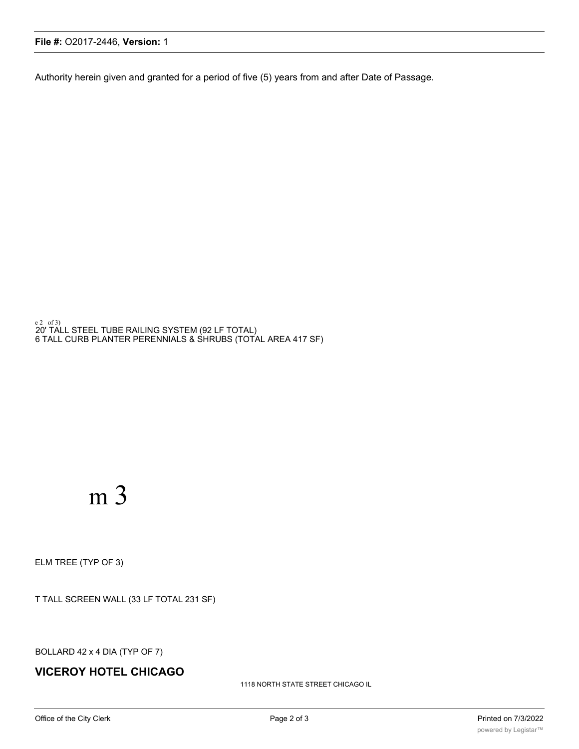1118 NORTH STATE STREET CHICAGO IL

### **VICEROY HOTEL CHICAGO**

BOLLARD 42 x 4 DIA (TYP OF 7)

T TALL SCREEN WALL (33 LF TOTAL 231 SF)

ELM TREE (TYP OF 3)

# m 3

e2\_of3)<br>20' TALL STEEL TUBE RAILING SYSTEM (92 LF TOTAL) 6 TALL CURB PLANTER PERENNIALS & SHRUBS (TOTAL AREA 417 SF)

**File #:** O2017-2446, **Version:** 1

Authority herein given and granted for a period of five (5) years from and after Date of Passage.